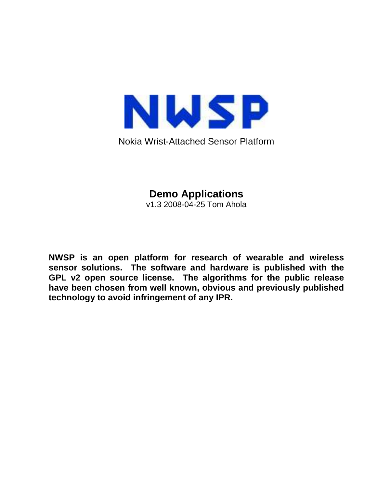

Nokia Wrist-Attached Sensor Platform

**Demo Applications** 

v1.3 2008-04-25 Tom Ahola

**NWSP is an open platform for research of wearable and wireless sensor solutions. The software and hardware is published with the GPL v2 open source license. The algorithms for the public release have been chosen from well known, obvious and previously published technology to avoid infringement of any IPR.**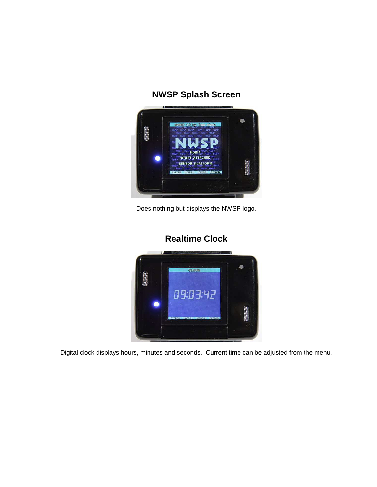# **NWSP Splash Screen**



Does nothing but displays the NWSP logo.

### **Realtime Clock**



Digital clock displays hours, minutes and seconds. Current time can be adjusted from the menu.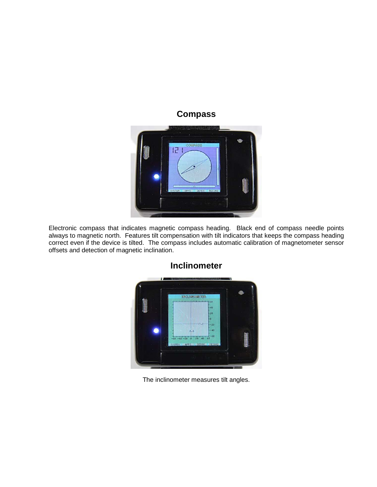

Electronic compass that indicates magnetic compass heading. Black end of compass needle points always to magnetic north. Features tilt compensation with tilt indicators that keeps the compass heading correct even if the device is tilted. The compass includes automatic calibration of magnetometer sensor offsets and detection of magnetic inclination.



### **Inclinometer**

The inclinometer measures tilt angles.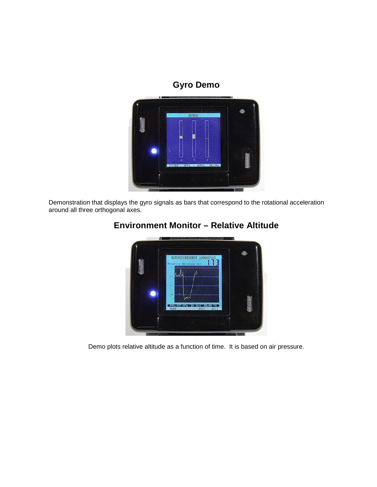### **Gyro Demo**



Demonstration that displays the gyro signals as bars that correspond to the rotational acceleration around all three orthogonal axes.



### **Environment Monitor – Relative Altitude**

Demo plots relative altitude as a function of time. It is based on air pressure.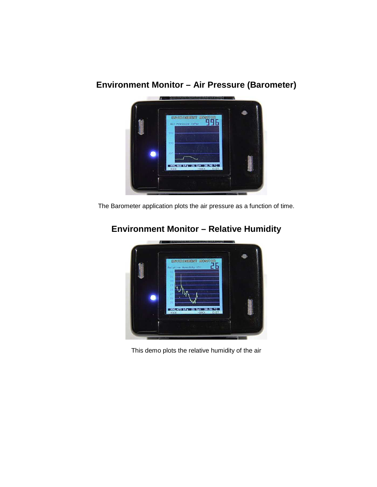# ENVIRONMENT MONTING 996.468 hPa 26 XrH 38.90 °C

# **Environment Monitor – Air Pressure (Barometer)**

The Barometer application plots the air pressure as a function of time.



# **Environment Monitor – Relative Humidity**

This demo plots the relative humidity of the air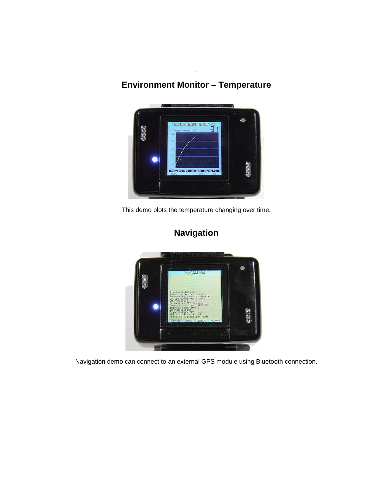# **Environment Monitor – Temperature**

.



This demo plots the temperature changing over time.



# **Navigation**

Navigation demo can connect to an external GPS module using Bluetooth connection.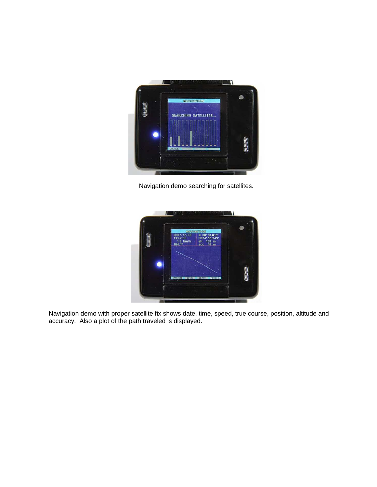

Navigation demo searching for satellites.



Navigation demo with proper satellite fix shows date, time, speed, true course, position, altitude and accuracy. Also a plot of the path traveled is displayed.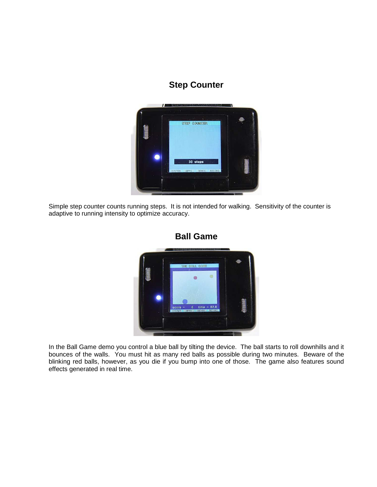### **Step Counter**



Simple step counter counts running steps. It is not intended for walking. Sensitivity of the counter is adaptive to running intensity to optimize accuracy.



**Ball Game** 

In the Ball Game demo you control a blue ball by tilting the device. The ball starts to roll downhills and it bounces of the walls. You must hit as many red balls as possible during two minutes. Beware of the blinking red balls, however, as you die if you bump into one of those. The game also features sound effects generated in real time.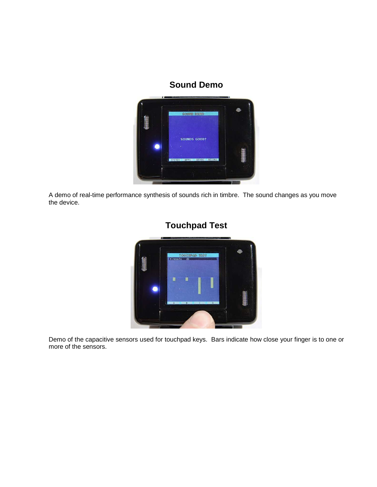### **Sound Demo**



A demo of real-time performance synthesis of sounds rich in timbre. The sound changes as you move the device.



### **Touchpad Test**

Demo of the capacitive sensors used for touchpad keys. Bars indicate how close your finger is to one or more of the sensors.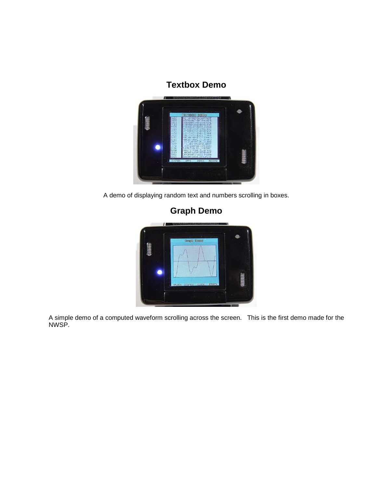### **Textbox Demo**



A demo of displaying random text and numbers scrolling in boxes.



A simple demo of a computed waveform scrolling across the screen. This is the first demo made for the NWSP.

# **Graph Demo**